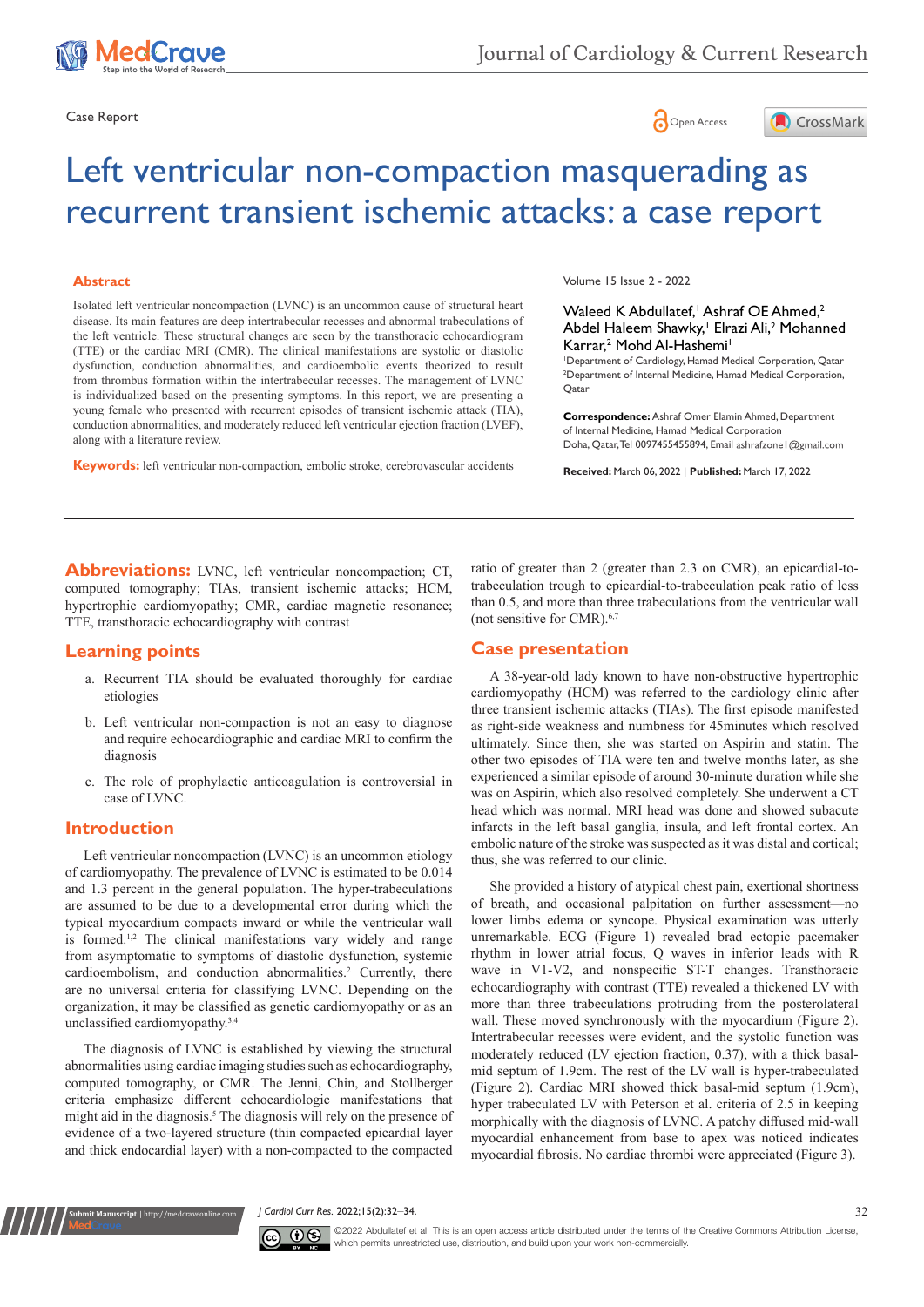





# Left ventricular non-compaction masquerading as recurrent transient ischemic attacks: a case report

#### **Abstract**

Isolated left ventricular noncompaction (LVNC) is an uncommon cause of structural heart disease. Its main features are deep intertrabecular recesses and abnormal trabeculations of the left ventricle. These structural changes are seen by the transthoracic echocardiogram (TTE) or the cardiac MRI (CMR). The clinical manifestations are systolic or diastolic dysfunction, conduction abnormalities, and cardioembolic events theorized to result from thrombus formation within the intertrabecular recesses. The management of LVNC is individualized based on the presenting symptoms. In this report, we are presenting a young female who presented with recurrent episodes of transient ischemic attack (TIA), conduction abnormalities, and moderately reduced left ventricular ejection fraction (LVEF), along with a literature review.

**Keywords:** left ventricular non-compaction, embolic stroke, cerebrovascular accidents

Volume 15 Issue 2 - 2022

#### Waleed K Abdullatef, Ashraf OE Ahmed,<sup>2</sup> Abdel Haleem Shawky,<sup>1</sup> Elrazi Ali,<sup>2</sup> Mohanned Karrar,<sup>2</sup> Mohd Al-Hashemi<sup>1</sup>

1 Department of Cardiology, Hamad Medical Corporation, Qatar 2 Department of Internal Medicine, Hamad Medical Corporation, Qatar

**Correspondence:** Ashraf Omer Elamin Ahmed, Department of Internal Medicine, Hamad Medical Corporation Doha, Qatar, Tel 0097455455894, Email ashrafzone I @gmail.com

**Received:** March 06, 2022 | **Published:** March 17, 2022

**Abbreviations:** LVNC, left ventricular noncompaction; CT, computed tomography; TIAs, transient ischemic attacks; HCM, hypertrophic cardiomyopathy; CMR, cardiac magnetic resonance; TTE, transthoracic echocardiography with contrast

# **Learning points**

- a. Recurrent TIA should be evaluated thoroughly for cardiac etiologies
- b. Left ventricular non-compaction is not an easy to diagnose and require echocardiographic and cardiac MRI to confirm the diagnosis
- c. The role of prophylactic anticoagulation is controversial in case of LVNC.

# **Introduction**

**it Manuscript** | http://medcraveonline.c

Left ventricular noncompaction (LVNC) is an uncommon etiology of cardiomyopathy. The prevalence of LVNC is estimated to be 0.014 and 1.3 percent in the general population. The hyper-trabeculations are assumed to be due to a developmental error during which the typical myocardium compacts inward or while the ventricular wall is formed.<sup>1,2</sup> The clinical manifestations vary widely and range from asymptomatic to symptoms of diastolic dysfunction, systemic cardioembolism, and conduction abnormalities.<sup>2</sup> Currently, there are no universal criteria for classifying LVNC. Depending on the organization, it may be classified as genetic cardiomyopathy or as an unclassified cardiomyopathy.3,4

The diagnosis of LVNC is established by viewing the structural abnormalities using cardiac imaging studies such as echocardiography, computed tomography, or CMR. The Jenni, Chin, and Stollberger criteria emphasize different echocardiologic manifestations that might aid in the diagnosis.<sup>5</sup> The diagnosis will rely on the presence of evidence of a two-layered structure (thin compacted epicardial layer and thick endocardial layer) with a non-compacted to the compacted ratio of greater than 2 (greater than 2.3 on CMR), an epicardial-totrabeculation trough to epicardial-to-trabeculation peak ratio of less than 0.5, and more than three trabeculations from the ventricular wall (not sensitive for CMR).6,7

# **Case presentation**

A 38-year-old lady known to have non-obstructive hypertrophic cardiomyopathy (HCM) was referred to the cardiology clinic after three transient ischemic attacks (TIAs). The first episode manifested as right-side weakness and numbness for 45minutes which resolved ultimately. Since then, she was started on Aspirin and statin. The other two episodes of TIA were ten and twelve months later, as she experienced a similar episode of around 30-minute duration while she was on Aspirin, which also resolved completely. She underwent a CT head which was normal. MRI head was done and showed subacute infarcts in the left basal ganglia, insula, and left frontal cortex. An embolic nature of the stroke was suspected as it was distal and cortical; thus, she was referred to our clinic.

She provided a history of atypical chest pain, exertional shortness of breath, and occasional palpitation on further assessment—no lower limbs edema or syncope. Physical examination was utterly unremarkable. ECG (Figure 1) revealed brad ectopic pacemaker rhythm in lower atrial focus, Q waves in inferior leads with R wave in V1-V2, and nonspecific ST-T changes. Transthoracic echocardiography with contrast (TTE) revealed a thickened LV with more than three trabeculations protruding from the posterolateral wall. These moved synchronously with the myocardium (Figure 2). Intertrabecular recesses were evident, and the systolic function was moderately reduced (LV ejection fraction, 0.37), with a thick basalmid septum of 1.9cm. The rest of the LV wall is hyper-trabeculated (Figure 2). Cardiac MRI showed thick basal-mid septum (1.9cm), hyper trabeculated LV with Peterson et al. criteria of 2.5 in keeping morphically with the diagnosis of LVNC. A patchy diffused mid-wall myocardial enhancement from base to apex was noticed indicates myocardial fibrosis. No cardiac thrombi were appreciated (Figure 3).

*J Cardiol Curr Res.* 2022;15(2):32‒34. 32



©2022 Abdullatef et al. This is an open access article distributed under the terms of the [Creative Commons Attribution License](https://creativecommons.org/licenses/by-nc/4.0/), which permits unrestricted use, distribution, and build upon your work non-commercially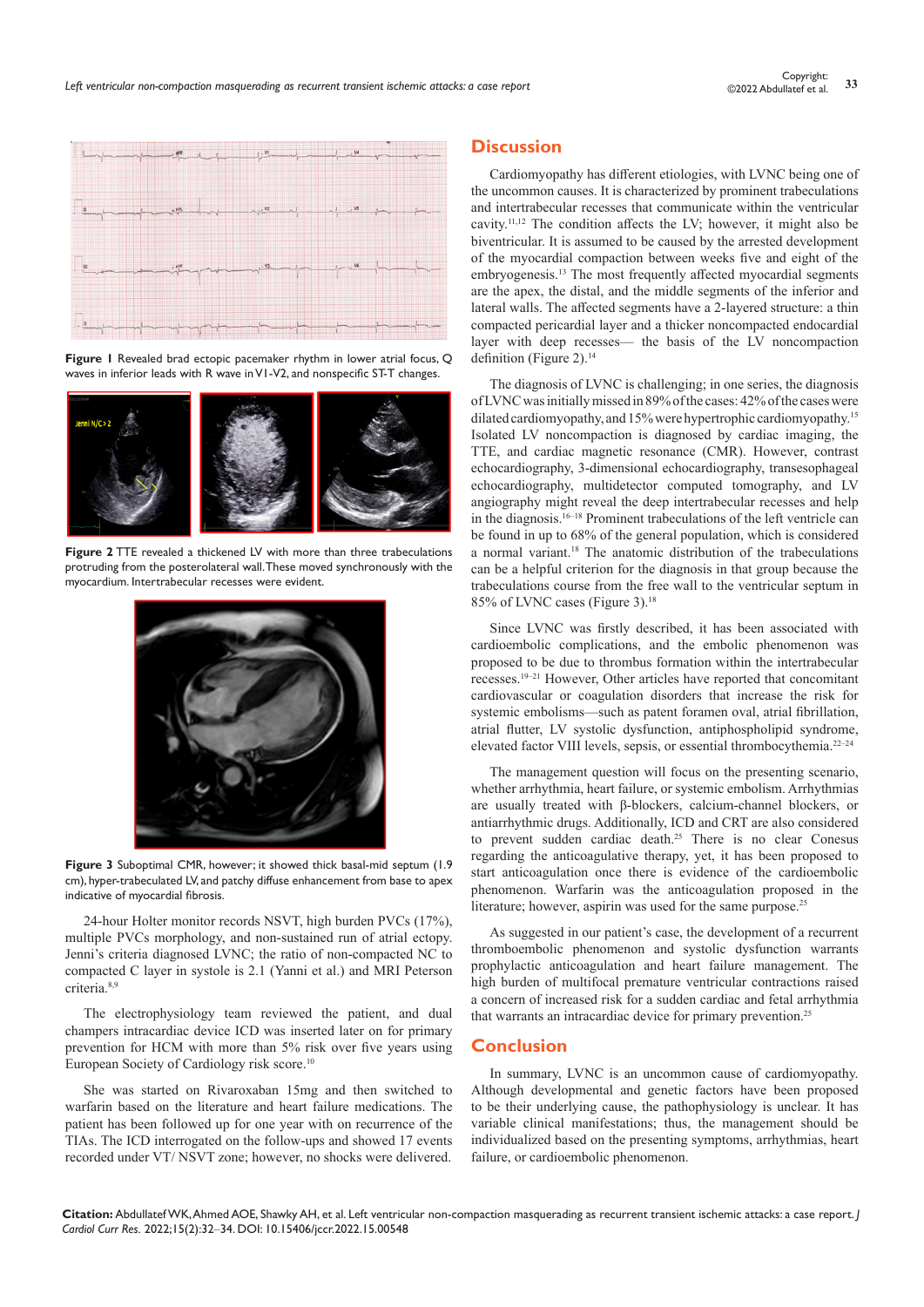

**Figure 1** Revealed brad ectopic pacemaker rhythm in lower atrial focus, Q waves in inferior leads with R wave in V1-V2, and nonspecific ST-T changes.



**Figure 2** TTE revealed a thickened LV with more than three trabeculations protruding from the posterolateral wall. These moved synchronously with the myocardium. Intertrabecular recesses were evident.



**Figure 3** Suboptimal CMR, however; it showed thick basal-mid septum (1.9 cm), hyper-trabeculated LV, and patchy diffuse enhancement from base to apex indicative of myocardial fibrosis.

24-hour Holter monitor records NSVT, high burden PVCs (17%), multiple PVCs morphology, and non-sustained run of atrial ectopy. Jenni's criteria diagnosed LVNC; the ratio of non-compacted NC to compacted C layer in systole is 2.1 (Yanni et al.) and MRI Peterson criteria.8,9

The electrophysiology team reviewed the patient, and dual champers intracardiac device ICD was inserted later on for primary prevention for HCM with more than 5% risk over five years using European Society of Cardiology risk score.10

She was started on Rivaroxaban 15mg and then switched to warfarin based on the literature and heart failure medications. The patient has been followed up for one year with on recurrence of the TIAs. The ICD interrogated on the follow-ups and showed 17 events recorded under VT/ NSVT zone; however, no shocks were delivered.

# **Discussion**

Cardiomyopathy has different etiologies, with LVNC being one of the uncommon causes. It is characterized by prominent trabeculations and intertrabecular recesses that communicate within the ventricular cavity.11,12 The condition affects the LV; however, it might also be biventricular. It is assumed to be caused by the arrested development of the myocardial compaction between weeks five and eight of the embryogenesis.<sup>13</sup> The most frequently affected myocardial segments are the apex, the distal, and the middle segments of the inferior and lateral walls. The affected segments have a 2-layered structure: a thin compacted pericardial layer and a thicker noncompacted endocardial layer with deep recesses— the basis of the LV noncompaction definition (Figure 2).<sup>14</sup>

The diagnosis of LVNC is challenging; in one series, the diagnosis of LVNC was initially missed in 89% of the cases: 42% of the cases were dilated cardiomyopathy, and 15% were hypertrophic cardiomyopathy.<sup>15</sup> Isolated LV noncompaction is diagnosed by cardiac imaging, the TTE, and cardiac magnetic resonance (CMR). However, contrast echocardiography, 3-dimensional echocardiography, transesophageal echocardiography, multidetector computed tomography, and LV angiography might reveal the deep intertrabecular recesses and help in the diagnosis.16–18 Prominent trabeculations of the left ventricle can be found in up to 68% of the general population, which is considered a normal variant.18 The anatomic distribution of the trabeculations can be a helpful criterion for the diagnosis in that group because the trabeculations course from the free wall to the ventricular septum in 85% of LVNC cases (Figure 3).18

Since LVNC was firstly described, it has been associated with cardioembolic complications, and the embolic phenomenon was proposed to be due to thrombus formation within the intertrabecular recesses.19–21 However, Other articles have reported that concomitant cardiovascular or coagulation disorders that increase the risk for systemic embolisms—such as patent foramen oval, atrial fibrillation, atrial flutter, LV systolic dysfunction, antiphospholipid syndrome, elevated factor VIII levels, sepsis, or essential thrombocythemia.22–24

The management question will focus on the presenting scenario, whether arrhythmia, heart failure, or systemic embolism. Arrhythmias are usually treated with β-blockers, calcium-channel blockers, or antiarrhythmic drugs. Additionally, ICD and CRT are also considered to prevent sudden cardiac death.25 There is no clear Conesus regarding the anticoagulative therapy, yet, it has been proposed to start anticoagulation once there is evidence of the cardioembolic phenomenon. Warfarin was the anticoagulation proposed in the literature; however, aspirin was used for the same purpose.<sup>25</sup>

As suggested in our patient's case, the development of a recurrent thromboembolic phenomenon and systolic dysfunction warrants prophylactic anticoagulation and heart failure management. The high burden of multifocal premature ventricular contractions raised a concern of increased risk for a sudden cardiac and fetal arrhythmia that warrants an intracardiac device for primary prevention.<sup>25</sup>

#### **Conclusion**

In summary, LVNC is an uncommon cause of cardiomyopathy. Although developmental and genetic factors have been proposed to be their underlying cause, the pathophysiology is unclear. It has variable clinical manifestations; thus, the management should be individualized based on the presenting symptoms, arrhythmias, heart failure, or cardioembolic phenomenon.